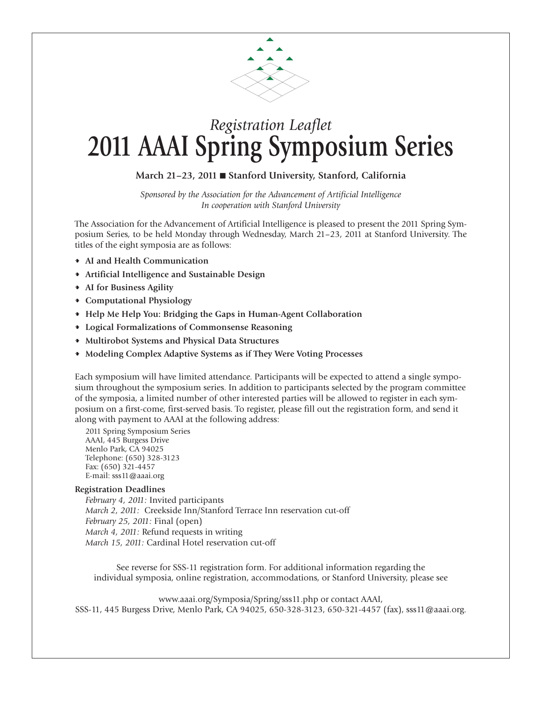

## *Registration Leaflet* **2011 AAAI Spring Symposium Series**

## **March 21–23, 2011** n **Stanford University, Stanford, California**

*Sponsored by the Association for the Advancement of Artificial Intelligence In cooperation with Stanford University*

The Association for the Advancement of Artificial Intelligence is pleased to present the 2011 Spring Symposium Series, to be held Monday through Wednesday, March 21–23, 2011 at Stanford University. The titles of the eight symposia are as follows:

- **AI and Health Communication**
- **Artificial Intelligence and Sustainable Design**
- **AI for Business Agility**
- **Computational Physiology**
- **Help Me Help You: Bridging the Gaps in Human-Agent Collaboration**
- **Logical Formalizations of Commonsense Reasoning**
- **Multirobot Systems and Physical Data Structures**
- **Modeling Complex Adaptive Systems as if They Were Voting Processes**

Each symposium will have limited attendance. Participants will be expected to attend a single symposium throughout the symposium series. In addition to participants selected by the program committee of the symposia, a limited number of other interested parties will be allowed to register in each symposium on a first-come, first-served basis. To register, please fill out the registration form, and send it along with payment to AAAI at the following address:

2011 Spring Symposium Series AAAI, 445 Burgess Drive Menlo Park, CA 94025 Telephone: (650) 328-3123 Fax: (650) 321-4457 E-mail: sss11@aaai.org

## **Registration Deadlines**

*February 4, 2011:* Invited participants *March 2, 2011:* Creekside Inn/Stanford Terrace Inn reservation cut-off *February 25, 2011:* Final (open) *March 4, 2011:* Refund requests in writing *March 15, 2011:* Cardinal Hotel reservation cut-off

See reverse for SSS-11 registration form. For additional information regarding the individual symposia, online registration, accommodations, or Stanford University, please see

www.aaai.org/Symposia/Spring/sss11.php or contact AAAI, SSS-11, 445 Burgess Drive, Menlo Park, CA 94025, 650-328-3123, 650-321-4457 (fax), sss11@aaai.org.